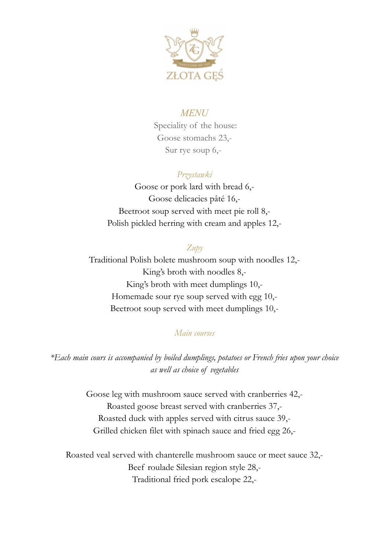

## *MENU*

Speciality of the house: Goose stomachs 23,- Sur rye soup 6,-

# *Przystawki*

Goose or pork lard with bread 6,- Goose delicacies pâté 16,- Beetroot soup served with meet pie roll 8,- Polish pickled herring with cream and apples 12,-

## *Zupy*

Traditional Polish bolete mushroom soup with noodles 12,- King's broth with noodles 8,- King's broth with meet dumplings 10,- Homemade sour rye soup served with egg 10,- Beetroot soup served with meet dumplings 10,-

### *Main courses*

*\*Each main cours is accompanied by boiled dumplings, potatoes or French fries upon your choice as well as choice of vegetables*

> Goose leg with mushroom sauce served with cranberries 42,- Roasted goose breast served with cranberries 37,- Roasted duck with apples served with citrus sauce 39,- Grilled chicken filet with spinach sauce and fried egg 26,-

Roasted veal served with chanterelle mushroom sauce or meet sauce 32,- Beef roulade Silesian region style 28,- Traditional fried pork escalope 22,-